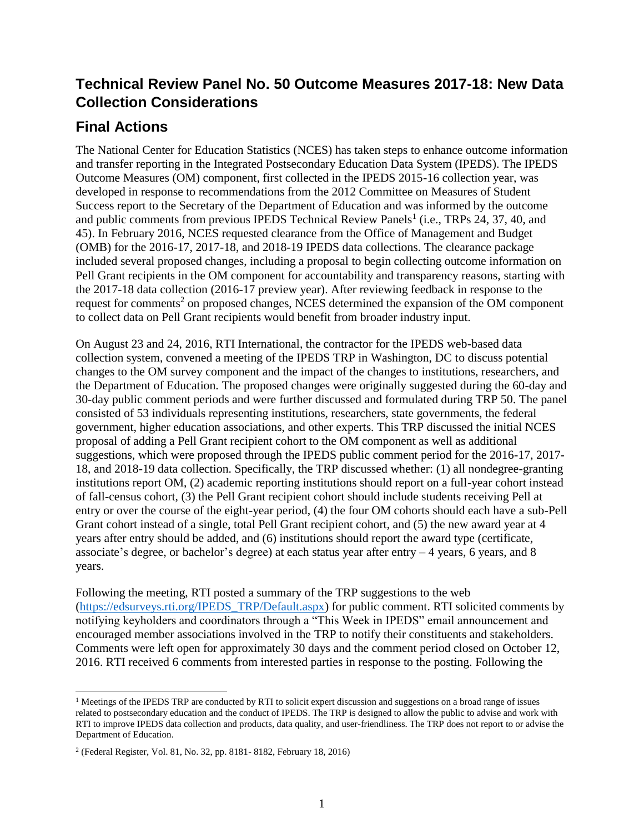# **Technical Review Panel No. 50 Outcome Measures 2017-18: New Data Collection Considerations**

# **Final Actions**

The National Center for Education Statistics (NCES) has taken steps to enhance outcome information and transfer reporting in the Integrated Postsecondary Education Data System (IPEDS). The IPEDS Outcome Measures (OM) component, first collected in the IPEDS 2015-16 collection year, was developed in response to recommendations from the 2012 Committee on Measures of Student Success report to the Secretary of the Department of Education and was informed by the outcome and public comments from previous IPEDS Technical Review Panels<sup>1</sup> (i.e., TRPs 24, 37, 40, and 45). In February 2016, NCES requested clearance from the Office of Management and Budget (OMB) for the 2016-17, 2017-18, and 2018-19 IPEDS data collections. The clearance package included several proposed changes, including a proposal to begin collecting outcome information on Pell Grant recipients in the OM component for accountability and transparency reasons, starting with the 2017-18 data collection (2016-17 preview year). After reviewing feedback in response to the request for comments<sup>2</sup> on proposed changes, NCES determined the expansion of the OM component to collect data on Pell Grant recipients would benefit from broader industry input.

On August 23 and 24, 2016, RTI International, the contractor for the IPEDS web-based data collection system, convened a meeting of the IPEDS TRP in Washington, DC to discuss potential changes to the OM survey component and the impact of the changes to institutions, researchers, and the Department of Education. The proposed changes were originally suggested during the 60-day and 30-day public comment periods and were further discussed and formulated during TRP 50. The panel consisted of 53 individuals representing institutions, researchers, state governments, the federal government, higher education associations, and other experts. This TRP discussed the initial NCES proposal of adding a Pell Grant recipient cohort to the OM component as well as additional suggestions, which were proposed through the IPEDS public comment period for the 2016-17, 2017- 18, and 2018-19 data collection. Specifically, the TRP discussed whether: (1) all nondegree-granting institutions report OM, (2) academic reporting institutions should report on a full-year cohort instead of fall-census cohort, (3) the Pell Grant recipient cohort should include students receiving Pell at entry or over the course of the eight-year period, (4) the four OM cohorts should each have a sub-Pell Grant cohort instead of a single, total Pell Grant recipient cohort, and (5) the new award year at 4 years after entry should be added, and (6) institutions should report the award type (certificate, associate's degree, or bachelor's degree) at each status year after entry  $-4$  years, 6 years, and 8 years.

Following the meeting, RTI posted a summary of the TRP suggestions to the web [\(https://edsurveys.rti.org/IPEDS\\_TRP/Default.aspx\)](https://edsurveys.rti.org/IPEDS_TRP/Default.aspx) for public comment. RTI solicited comments by notifying keyholders and coordinators through a "This Week in IPEDS" email announcement and encouraged member associations involved in the TRP to notify their constituents and stakeholders. Comments were left open for approximately 30 days and the comment period closed on October 12, 2016. RTI received 6 comments from interested parties in response to the posting. Following the

 $\overline{\phantom{a}}$ 

 $1$  Meetings of the IPEDS TRP are conducted by RTI to solicit expert discussion and suggestions on a broad range of issues related to postsecondary education and the conduct of IPEDS. The TRP is designed to allow the public to advise and work with RTI to improve IPEDS data collection and products, data quality, and user-friendliness. The TRP does not report to or advise the Department of Education.

<sup>2</sup> (Federal Register, Vol. 81, No. 32, pp. 8181- 8182, February 18, 2016)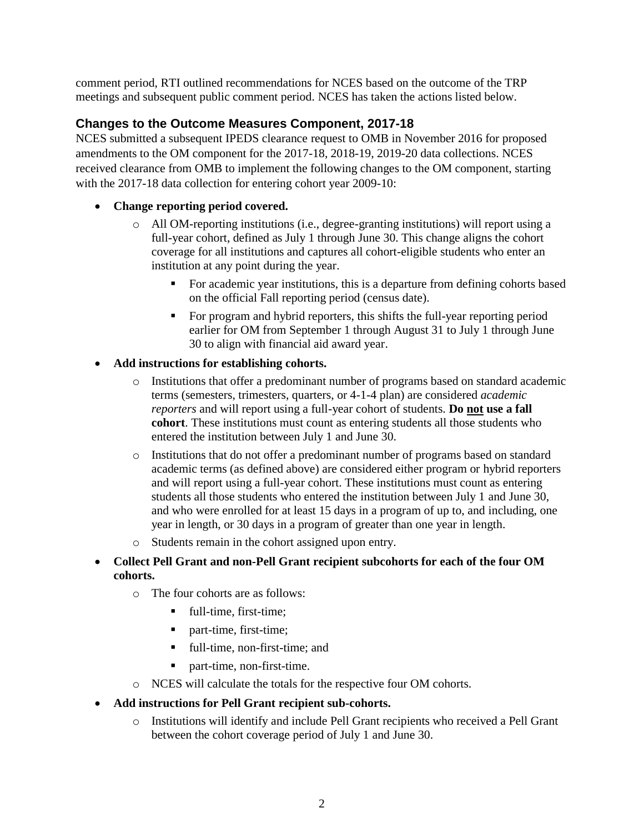comment period, RTI outlined recommendations for NCES based on the outcome of the TRP meetings and subsequent public comment period. NCES has taken the actions listed below.

### **Changes to the Outcome Measures Component, 2017-18**

NCES submitted a subsequent IPEDS clearance request to OMB in November 2016 for proposed amendments to the OM component for the 2017-18, 2018-19, 2019-20 data collections. NCES received clearance from OMB to implement the following changes to the OM component, starting with the 2017-18 data collection for entering cohort year 2009-10:

### • **Change reporting period covered.**

- o All OM-reporting institutions (i.e., degree-granting institutions) will report using a full-year cohort, defined as July 1 through June 30. This change aligns the cohort coverage for all institutions and captures all cohort-eligible students who enter an institution at any point during the year.
	- For academic year institutions, this is a departure from defining cohorts based on the official Fall reporting period (census date).
	- For program and hybrid reporters, this shifts the full-year reporting period earlier for OM from September 1 through August 31 to July 1 through June 30 to align with financial aid award year.

### • **Add instructions for establishing cohorts.**

- o Institutions that offer a predominant number of programs based on standard academic terms (semesters, trimesters, quarters, or 4-1-4 plan) are considered *academic reporters* and will report using a full-year cohort of students. **Do not use a fall cohort**. These institutions must count as entering students all those students who entered the institution between July 1 and June 30.
- o Institutions that do not offer a predominant number of programs based on standard academic terms (as defined above) are considered either program or hybrid reporters and will report using a full-year cohort. These institutions must count as entering students all those students who entered the institution between July 1 and June 30, and who were enrolled for at least 15 days in a program of up to, and including, one year in length, or 30 days in a program of greater than one year in length.
- o Students remain in the cohort assigned upon entry.
- **Collect Pell Grant and non-Pell Grant recipient subcohorts for each of the four OM cohorts.**
	- o The four cohorts are as follows:
		- full-time, first-time;
		- part-time, first-time;
		- full-time, non-first-time; and
		- part-time, non-first-time.
	- o NCES will calculate the totals for the respective four OM cohorts.
- **Add instructions for Pell Grant recipient sub-cohorts.**
	- o Institutions will identify and include Pell Grant recipients who received a Pell Grant between the cohort coverage period of July 1 and June 30.